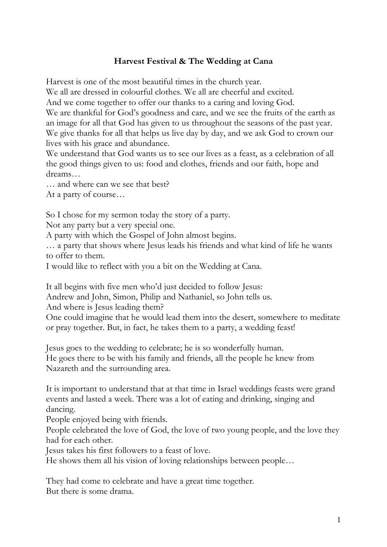## **Harvest Festival & The Wedding at Cana**

Harvest is one of the most beautiful times in the church year.

We all are dressed in colourful clothes. We all are cheerful and excited.

And we come together to offer our thanks to a caring and loving God.

We are thankful for God's goodness and care, and we see the fruits of the earth as an image for all that God has given to us throughout the seasons of the past year. We give thanks for all that helps us live day by day, and we ask God to crown our lives with his grace and abundance.

We understand that God wants us to see our lives as a feast, as a celebration of all the good things given to us: food and clothes, friends and our faith, hope and dreams…

… and where can we see that best?

At a party of course…

So I chose for my sermon today the story of a party.

Not any party but a very special one.

A party with which the Gospel of John almost begins.

… a party that shows where Jesus leads his friends and what kind of life he wants to offer to them.

I would like to reflect with you a bit on the Wedding at Cana.

It all begins with five men who'd just decided to follow Jesus:

Andrew and John, Simon, Philip and Nathaniel, so John tells us.

And where is Jesus leading them?

One could imagine that he would lead them into the desert, somewhere to meditate or pray together. But, in fact, he takes them to a party, a wedding feast!

Jesus goes to the wedding to celebrate; he is so wonderfully human. He goes there to be with his family and friends, all the people he knew from Nazareth and the surrounding area.

It is important to understand that at that time in Israel weddings feasts were grand events and lasted a week. There was a lot of eating and drinking, singing and dancing.

People enjoyed being with friends.

People celebrated the love of God, the love of two young people, and the love they had for each other.

Jesus takes his first followers to a feast of love.

He shows them all his vision of loving relationships between people…

They had come to celebrate and have a great time together. But there is some drama.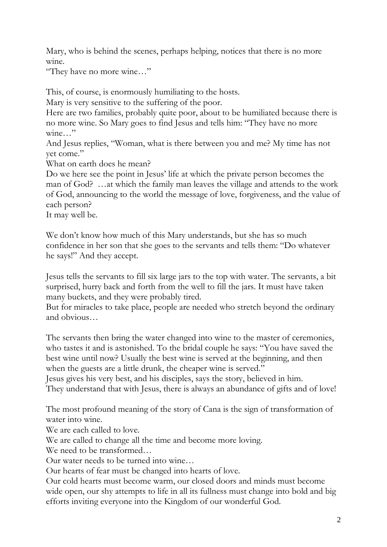Mary, who is behind the scenes, perhaps helping, notices that there is no more wine.

"They have no more wine…"

This, of course, is enormously humiliating to the hosts.

Mary is very sensitive to the suffering of the poor.

Here are two families, probably quite poor, about to be humiliated because there is no more wine. So Mary goes to find Jesus and tells him: "They have no more wine…"

And Jesus replies, "Woman, what is there between you and me? My time has not yet come."

What on earth does he mean?

Do we here see the point in Jesus' life at which the private person becomes the man of God? …at which the family man leaves the village and attends to the work of God, announcing to the world the message of love, forgiveness, and the value of each person?

It may well be.

We don't know how much of this Mary understands, but she has so much confidence in her son that she goes to the servants and tells them: "Do whatever he says!" And they accept.

Jesus tells the servants to fill six large jars to the top with water. The servants, a bit surprised, hurry back and forth from the well to fill the jars. It must have taken many buckets, and they were probably tired.

But for miracles to take place, people are needed who stretch beyond the ordinary and obvious…

The servants then bring the water changed into wine to the master of ceremonies, who tastes it and is astonished. To the bridal couple he says: "You have saved the best wine until now? Usually the best wine is served at the beginning, and then when the guests are a little drunk, the cheaper wine is served."

Jesus gives his very best, and his disciples, says the story, believed in him. They understand that with Jesus, there is always an abundance of gifts and of love!

The most profound meaning of the story of Cana is the sign of transformation of water into wine.

We are each called to love.

We are called to change all the time and become more loving.

We need to be transformed…

Our water needs to be turned into wine…

Our hearts of fear must be changed into hearts of love.

Our cold hearts must become warm, our closed doors and minds must become wide open, our shy attempts to life in all its fullness must change into bold and big efforts inviting everyone into the Kingdom of our wonderful God.